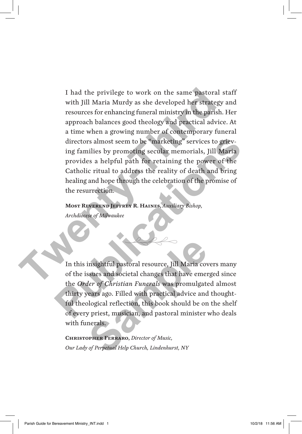I had the privilege to work on the same pastoral staff with Jill Maria Murdy as she developed her strategy and resources for enhancing funeral ministry in the parish. Her approach balances good theology and practical advice. At a time when a growing number of contemporary funeral directors almost seem to be "marketing" services to grieving families by promoting secular memorials, Jill Maria provides a helpful path for retaining the power of the Catholic ritual to address the reality of death and bring healing and hope through the celebration of the promise of the resurrection. I had the privilege to work on the same pastoral si<br>with Jill Maria Murdy as she developed her strategy resources for enhancing funeral ministry in the parish. I<br>approach balances good theology and practical advice<br>a time directors almost seem to be "marketing" services to grieving families by promoting secular memorials, Jill Maria<br>provides a helpful path for retaining the power of the<br>Catholic ritual to address the reality of death and br

**Most Reverend Jeffrey R. Haines,** *Auxiliary Bishop, Archdiocese of Milwaukee* 

In this insightful pastoral resource, Jill Maria covers many of the issues and societal changes that have emerged since the *Order of Christian Funerals* was promulgated almost thirty years ago. Filled with practical advice and thoughtful theological reflection, this book should be on the shelf of every priest, musician, and pastoral minister who deals with funerals. **Sample 19 Set of Christian Parameter of Christian Funerals was promulgated and societal changes that have emerger of Christian Funerals was promulgated and plogical reflection, this book should be on priest, musician, and** 

 $\rightarrow$ 

**Christopher Ferraro,** *Director of Music, Our Lady of Perpetual Help Church, Lindenhurst, NY*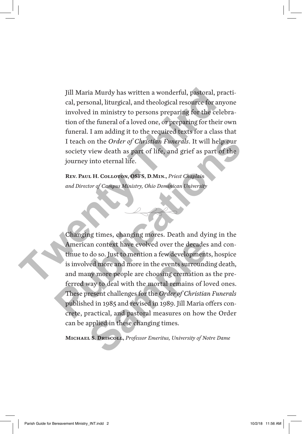Jill Maria Murdy has written a wonderful, pastoral, practical, personal, liturgical, and theological resource for anyone involved in ministry to persons preparing for the celebration of the funeral of a loved one, or preparing for their own funeral. I am adding it to the required texts for a class that I teach on the *Order of Christian Funerals*. It will help our society view death as part of life, and grief as part of the journey into eternal life. Jill Maria Murdy has written a wonderful, pastoral, pracal, personal, liturgical, and theological resource for any<br>involved in ministry to persons preparing for the celebroof the funeral of a loved one, or preparing for th

**Rev. Paul H. Colloton, OSFS, D.Min.,** *Priest Chaplain and Director of Campus Ministry, Ohio Dominican University*

Changing times, changing mores. Death and dying in the American context have evolved over the decades and continue to do so. Just to mention a few developments, hospice is involved more and more in the events surrounding death, and many more people are choosing cremation as the preferred way to deal with the mortal remains of loved ones. These present challenges for the *Order of Christian Funerals* published in 1985 and revised in 1989. Jill Maria offers concrete, practical, and pastoral measures on how the Order can be applied in these changing times. I teach on the *Order of Christian Funerals*. It will help our society view death as part of life, and grief as part of the journey into eternal life.<br>
Rev. PAUL H. COLLOTON, OSFS, D.MIN., *Priest Chaplain*<br>
and Director o an context have evolved over the decades<br>o do so. Just to mention a few development<br>wed more and more in the events surround<br>ny more people are choosing cremation a<br>way to deal with the mortal remains of lo<br>resent challeng

 $\rightarrow \rightarrow \rightarrow$ 

**Michael S. Driscoll,** *Professor Emeritus, University of Notre Dame*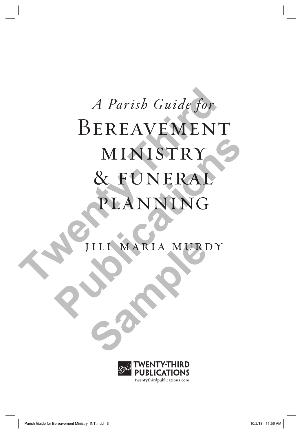# *A Parish Guide for*<br> **BEREAVEMENT**<br> **MINISTRY<br>
& FUNERAL<br>
PLANNING**<br>
PLANNING MINISTRY

**SAMPLE MARIA MURI** 

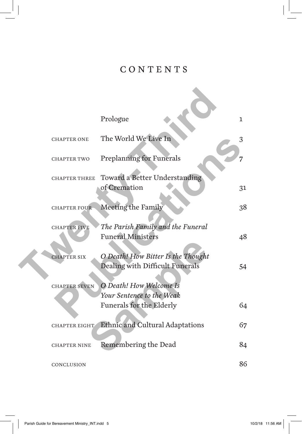#### CONTENTS

|                      | Prologue                                                                         | 1  |
|----------------------|----------------------------------------------------------------------------------|----|
| <b>CHAPTER ONE</b>   | The World We Live In                                                             | 3  |
| <b>CHAPTER TWO</b>   | <b>Preplanning for Funerals</b>                                                  |    |
| <b>CHAPTER THREE</b> | Toward a Better Understanding<br>of Cremation                                    | 31 |
| <b>CHAPTER FOUR</b>  | Meeting the Family                                                               | 38 |
| <b>CHAPTER FIVE</b>  | The Parish Family and the Funeral<br><b>Funeral Ministers</b>                    | 48 |
| <b>CHAPTER SIX</b>   | O Death! How Bitter Is the Thought<br>Dealing with Difficult Funerals            | 54 |
| <b>CHAPTER SEVEN</b> | O Death! How Welcome Is<br>Your Sentence to the Weak<br>Funerals for the Elderly | 64 |
| <b>CHAPTER EIGHT</b> | Ethnic and Cultural Adaptations                                                  | 67 |
| <b>CHAPTER NINE</b>  | Remembering the Dead                                                             | 84 |
| CONCLUSION           |                                                                                  | 86 |

 $\Box^{\dagger}$ 

 $\mathbb{L}$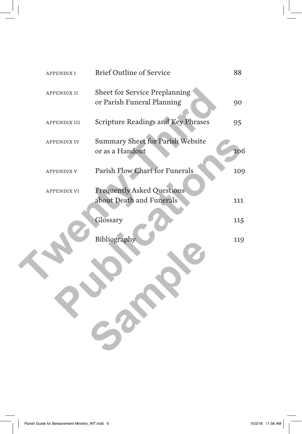| <b>APPENDIXI</b>   | <b>Brief Outline of Service</b>                                    | 88  |
|--------------------|--------------------------------------------------------------------|-----|
| <b>APPENDIX II</b> | <b>Sheet for Service Preplanning</b><br>or Parish Funeral Planning | 90  |
| APPENDIX III       | Scripture Readings and Key Phrases                                 | 95  |
| APPENDIX IV        | Summary Sheet for Parish Website<br>or as a Handout                | 106 |
| <b>APPENDIX V</b>  | Parish Flow Chart for Funerals                                     | 109 |
| <b>APPENDIX VI</b> | <b>Frequently Asked Questions</b><br>about Death and Funerals      | 111 |
|                    | Glossary                                                           | 115 |
|                    | Bibliography                                                       | 119 |

 $\Box$ 

 $\frac{1}{\sqrt{2}}$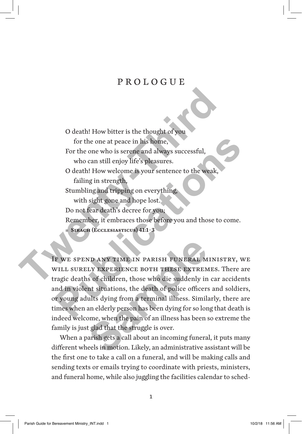#### PROLOGUE

O death! How bitter is the thought of you for the one at peace in his home, For the one who is serene and always successful, who can still enjoy life's pleasures. O death! How welcome is your sentence to the weak, failing in strength, Stumbling and tripping on everything, with sight gone and hope lost. Do not fear death's decree for you; Remember, it embraces those before you and those to come. ▪ **Sirach (Ecclesiasticus) 41:1–3** O death! How bitter is the thought of you<br>for the one at pace in his home,<br>For the one who is serence and always successful,<br>who can still enjoy life's pleasures.<br>O death! How welcome is your sentence to the weak,<br>failing for the one at peace in his home,<br>
For the one who is serence and always successful,<br>
who can still enjoy life's pleasures.<br>
O death! How welcome is your sentence to the weak,<br>
failing in strength,<br>
Stumbling and tripping

If we spend any time in parish funeral ministry, we will surely experience both these extremes. There are tragic deaths of children, those who die suddenly in car accidents and in violent situations, the death of police officers and soldiers, or young adults dying from a terminal illness. Similarly, there are times when an elderly person has been dying for so long that death is indeed welcome, when the pain of an illness has been so extreme the family is just glad that the struggle is over. ND ANY TIME IN PARISH FUNERAL M<br>LY EXPERIENCE BOTH THESE EXTREM<br>is of children, those who die suddenly in<br>int situations, the death of police officers<br>ults dying from a terminal illness. Simili<br>an elderly person has been d

When a parish gets a call about an incoming funeral, it puts many different wheels in motion. Likely, an administrative assistant will be the first one to take a call on a funeral, and will be making calls and sending texts or emails trying to coordinate with priests, ministers, and funeral home, while also juggling the facilities calendar to sched-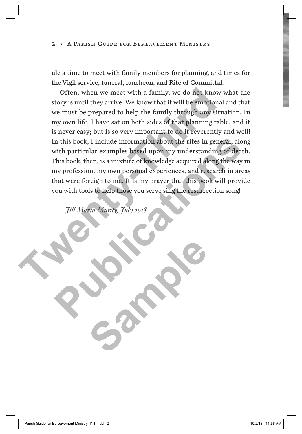ule a time to meet with family members for planning, and times for the Vigil service, funeral, luncheon, and Rite of Committal.

Often, when we meet with a family, we do not know what the story is until they arrive. We know that it will be emotional and that we must be prepared to help the family through any situation. In my own life, I have sat on both sides of that planning table, and it is never easy; but is so very important to do it reverently and well! In this book, I include information about the rites in general, along with particular examples based upon my understanding of death. This book, then, is a mixture of knowledge acquired along the way in my profession, my own personal experiences, and research in areas that were foreign to me. It is my prayer that this book will provide you with tools to help those you serve sing the resurrection song! Often, when we meet with a family, we do not know w<br>story is until they arrive. We know that it will be emotional<br>we must be prepared to help the family through any situa<br>my own life, I have sat on both sides of that plann In this book, I include information about the rites in general, along<br>with particular examples based upon my understanding of death.<br>This book, then, is a mixture of knowledge acquired along the way in<br>my profession, my ow

**Sample** 

*Jill Maria Murdy, July 2018*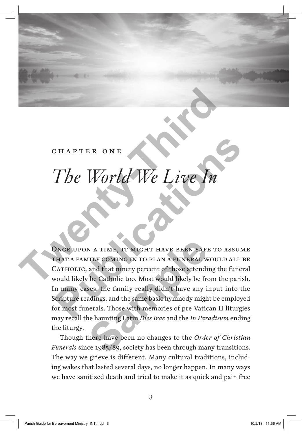#### chapter one

### *The World We Live In*

Once upon a time, it might have been safe to assume that a family coming in to plan a funeral would all be CATHOLIC, and that ninety percent of those attending the funeral would likely be Catholic too. Most would likely be from the parish. In many cases, the family really didn't have any input into the Scripture readings, and the same basic hymnody might be employed for most funerals. Those with memories of pre-Vatican II liturgies may recall the haunting Latin *Dies Irae* and the *In Paradisum* ending the liturgy. CHAPTER ONE<br>
The World We Live In<br>
ONCE UPON A TIME, IT MIGHT HAVE BEEN SAFE TO A<br>
CATHOLIC, and that ninety percent of those attending the<br>
CATHOLIC, and that ninety percent of those attending the<br>
would likely be Catholi **Phe World We Live In**<br>The World We Live In<br>that a remain of the set of the same of the contract a remain of the case of<br>that a remain coming in to plan a remember of those and the function<br>about the cases, the family rea N A TIME, IT MIGHT HAVE BEEN SAFILLY COMING IN TO PLAN A FUNERAL W<br>and that ninety percent of those attendi<br>be Catholic too. Most would likely be frames, the family really didn't have any is<br>adings, and the same basic hymn

Though there have been no changes to the *Order of Christian Funerals* since 1985/89, society has been through many transitions. The way we grieve is different. Many cultural traditions, including wakes that lasted several days, no longer happen. In many ways we have sanitized death and tried to make it as quick and pain free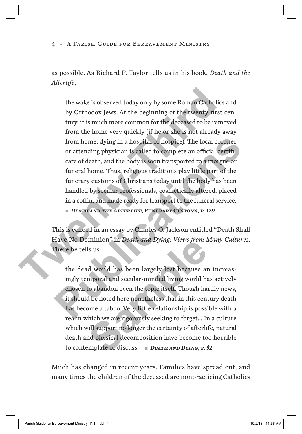as possible. As Richard P. Taylor tells us in his book, *Death and the Afterlife*,

the wake is observed today only by some Roman Catholics and by Orthodox Jews. At the beginning of the twenty-first century, it is much more common for the deceased to be removed from the home very quickly (if he or she is not already away from home, dying in a hospital or hospice). The local coroner or attending physician is called to complete an official certificate of death, and the body is soon transported to a morgue or funeral home. Thus, religious traditions play little part of the funerary customs of Christians today until the body has been handled by secular professionals, cosmetically altered, placed in a coffin, and made ready for transport to the funeral service. ▪*Death and the Afterlife***, Funerary Customs, p. 129** the wake is observed today only by some Roman Catholics<br>by Orthodox Jews. At the beginning of the twenty-first c<br>tury, it is much more common for the deceased to be remo<br>from the home very quickly (if he or she is not alre from home, dying in a hospital or hospice). The local coroner<br>or attending physician is called to complete an official certifi-<br>cate of death, and the body is soon transported to a morgue or<br>funeral home. Thus, religious t

This is echoed in an essay by Charles O. Jackson entitled "Death Shall Have No Dominion" in *Death and Dying: Views from Many Cultures*. There he tells us:

the dead world has been largely lost because an increasingly temporal and secular-minded living world has actively chosen to abandon even the topic itself. Though hardly news, it should be noted here nonetheless that in this century death has become a taboo. Very little relationship is possible with a realm which we are rigorously seeking to forget….In a culture which will support no longer the certainty of afterlife, natural death and physical decomposition have become too horrible to contemplate or discuss. ▪*Death and Dying***, p. 52 Sample 19 In Death and Dying: Views from A**<br>Is us:<br>Is us:<br>Is us:<br>Is us:<br>Is us:<br>Is us:<br>Is us:<br>Is us:<br>Is us:<br>Is us:<br>Is us:<br>Is and secular-minded living world had<br>to abandon even the topic itself. Though had<br>to not a taboo.

Much has changed in recent years. Families have spread out, and many times the children of the deceased are nonpracticing Catholics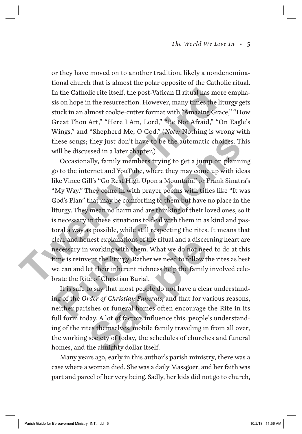or they have moved on to another tradition, likely a nondenominational church that is almost the polar opposite of the Catholic ritual. In the Catholic rite itself, the post-Vatican II ritual has more emphasis on hope in the resurrection. However, many times the liturgy gets stuck in an almost cookie-cutter format with "Amazing Grace," "How Great Thou Art," "Here I Am, Lord," "Be Not Afraid," "On Eagle's Wings," and "Shepherd Me, O God." (*Note:* Nothing is wrong with these songs; they just don't have to be the automatic choices. This will be discussed in a later chapter.)

Occasionally, family members trying to get a jump on planning go to the internet and YouTube, where they may come up with ideas like Vince Gill's "Go Rest High Upon a Mountain," or Frank Sinatra's "My Way." They come in with prayer poems with titles like "It was God's Plan" that may be comforting to them but have no place in the liturgy. They mean no harm and are thinking of their loved ones, so it is necessary in these situations to deal with them in as kind and pastoral a way as possible, while still respecting the rites. It means that clear and honest explanations of the ritual and a discerning heart are necessary in working with them. What we do not need to do at this time is reinvent the liturgy. Rather we need to follow the rites as best we can and let their inherent richness help the family involved celebrate the Rite of Christian Burial. In the Catholic rite itself, the post-Vatican II ritual has more sis on hope in the resurrection. However, many times the litt stuck in an almost cookie-cutter format with "Amazing Grace Great Thou Art," "Here I Am, Lord, hese songs; they just don't have to be the automatic choices. This<br>will be discussed in a later chapter.)<br>Occasionally, family members trying to get a jump on planning<br>(o to the internet and YouTube, where they may come up

It is safe to say that most people do not have a clear understanding of the *Order of Christian Funerals*, and that for various reasons, neither parishes or funeral homes often encourage the Rite in its full form today. A lot of factors influence this: people's understanding of the rites themselves, mobile family traveling in from all over, the working society of today, the schedules of churches and funeral homes, and the almighty dollar itself. nest explanations of the ritual and a discentive of the ritual and a discentive of the liturgy. Rather we need to follow the their inherent richness help the family the of Christian Burial.<br>The sample of Christian Burial.<br>

Many years ago, early in this author's parish ministry, there was a case where a woman died. She was a daily Massgoer, and her faith was part and parcel of her very being. Sadly, her kids did not go to church,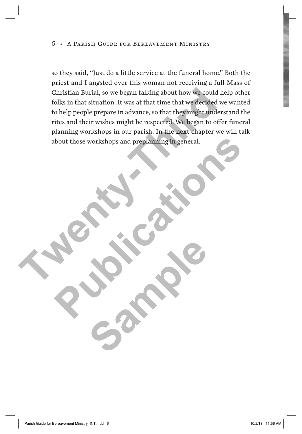so they said, "Just do a little service at the funeral home." Both the priest and I angsted over this woman not receiving a full Mass of Christian Burial, so we began talking about how we could help other folks in that situation. It was at that time that we decided we wanted to help people prepare in advance, so that they might understand the rites and their wishes might be respected. We began to offer funeral planning workshops in our parish. In the next chapter we will talk about those workshops and preplanning in general. Christian Burial, so we began talking about how we could he<br>folks in that situation. It was at that time that we decided we<br>to help people prepare in advance, so that they might unders<br>rites and their wishes might be respe bout those workshops and preplaming in general.

**Sample**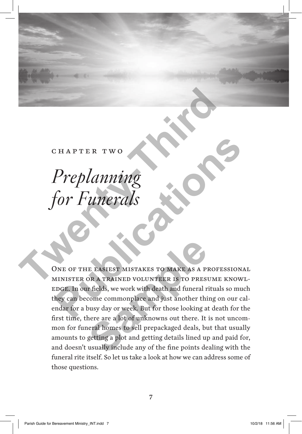#### chapter two

## *Preplanning for Funerals* CHAPTER TWO Preplanning<br>for Funerals<br>None of the EASEST MISTAKES TO MAKE AS A PROFES

ONE OF THE EASIEST MISTAKES TO MAKE AS A PROFESSIONAL minister or a trained volunteer is to presume knowl-EDGE. In our fields, we work with death and funeral rituals so much they can become commonplace and just another thing on our calendar for a busy day or week. But for those looking at death for the first time, there are a lot of unknowns out there. It is not uncommon for funeral homes to sell prepackaged deals, but that usually amounts to getting a plot and getting details lined up and paid for, and doesn't usually include any of the fine points dealing with the funeral rite itself. So let us take a look at how we can address some of those questions. Preplanning<br>
for Funerals<br>
Some of the eastest MISTAKES TO MAKE AS A PROFESSIONAL<br>
NE OF THE EASTEST MISTAKES TO MAKE AS A PROFESSIONAL<br>
MINISTER OR A TRAINED VOLUNTEER IS TO PRESUME KNOWLEDGE.<br>
In our fict a busy day or w THE EASIEST MISTAKES TO MAKE AS A PI<br>OR A TRAINED VOLUNTEER IS TO PRESI<br>r fields, we work with death and funeral r<br>come commonplace and just another thi<br>busy day or week. But for those looking at<br>here are a lot of unknowns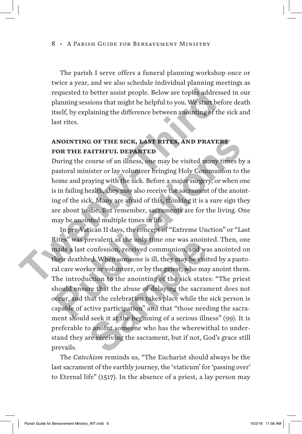The parish I serve offers a funeral planning workshop once or twice a year, and we also schedule individual planning meetings as requested to better assist people. Below are topics addressed in our planning sessions that might be helpful to you. We start before death itself, by explaining the difference between anointing of the sick and last rites.

#### **Anointing of the sick, last rites, and prayers for the faithful departed**

During the course of an illness, one may be visited many times by a pastoral minister or lay volunteer bringing Holy Communion to the home and praying with the sick. Before a major surgery, or when one is in failing health, they may also receive the sacrament of the anointing of the sick. Many are afraid of this, thinking it is a sure sign they are about to die. But remember, sacraments are for the living. One may be anointed multiple times in life. requested to better assist people. Below are topics addresses<br>planning sessions that might be helpful to you. We start befo<br>itself, by explaining the difference between anointing of the<br>last rites.<br>**ANOINTING OF THE SICK,** 

In pre-Vatican II days, the concept of "Extreme Unction" or "Last Rites" was prevalent as the only time one was anointed. Then, one made a last confession, received communion, and was anointed on their deathbed. When someone is ill, they may be visited by a pastoral care worker or volunteer, or by the priest, who may anoint them. The introduction to the anointing of the sick states: "The priest should ensure that the abuse of delaying the sacrament does not occur, and that the celebration takes place while the sick person is capable of active participation" and that "those needing the sacrament should seek it at the beginning of a serious illness" (99). It is preferable to anoint someone who has the wherewithal to understand they are receiving the sacrament, but if not, God's grace still prevails. **EXECUTE: THE SICK, LAST RITES, AND PRAYERS**<br> **POR THE FAITHFUL DEPARTED**<br>
During the course of an illness, one may be visited many times by a<br>
astoral minister or lay volunteer bringing Holy Communion to the<br>
nome and pra prevalent as the only time one was anomic<br>confession, received communion, and wa<br>eed. When someone is ill, they may be visit<br>ker or volunteer, or by the priest, who may<br>action to the anointing of the sick state<br>tree that t

The *Catechism* reminds us, "The Eucharist should always be the last sacrament of the earthly journey, the 'viaticum' for 'passing over' to Eternal life" (1517). In the absence of a priest, a lay person may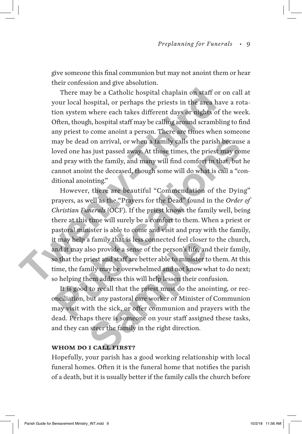give someone this final communion but may not anoint them or hear their confession and give absolution.

There may be a Catholic hospital chaplain on staff or on call at your local hospital, or perhaps the priests in the area have a rotation system where each takes different days or nights of the week. Often, though, hospital staff may be calling around scrambling to find any priest to come anoint a person. There are times when someone may be dead on arrival, or when a family calls the parish because a loved one has just passed away. At those times, the priest may come and pray with the family, and many will find comfort in that, but he cannot anoint the deceased, though some will do what is call a "conditional anointing." There may be a Catholic hospital chaplain on staff or o<br>your local hospital, or perhaps the priests in the area have<br>tion system where each takes different days or nights of the<br>Often, though, hospital staff may be calling

However, there are beautiful "Commendation of the Dying" prayers, as well as the "Prayers for the Dead" found in the *Order of Christian Funerals* (OCF). If the priest knows the family well, being there at this time will surely be a comfort to them. When a priest or pastoral minister is able to come and visit and pray with the family, it may help a family that is less connected feel closer to the church, and it may also provide a sense of the person's life, and their family, so that the priest and staff are better able to minister to them. At this time, the family may be overwhelmed and not know what to do next; so helping them address this will help lessen their confusion. may be dead on arrival, or when a family calls the parish because a<br>oved one has just passed away. At those times, the priest may come<br>and pray with the family, and many will find comfort in that, but he<br>annot anoint the d

It is good to recall that the priest must do the anointing, or reconciliation, but any pastoral care worker or Minister of Communion may visit with the sick, or offer communion and prayers with the dead. Perhaps there is someone on your staff assigned these tasks, and they can steer the family in the right direction. a ramily that is less connected reel closer<br>lso provide a sense of the person's life, an<br>riest and staff are better able to minister t<br>mily may be overwhelmed and not know w<br>nem address this will help lessen their con<br>to r

#### **Whom do i call first?**

Hopefully, your parish has a good working relationship with local funeral homes. Often it is the funeral home that notifies the parish of a death, but it is usually better if the family calls the church before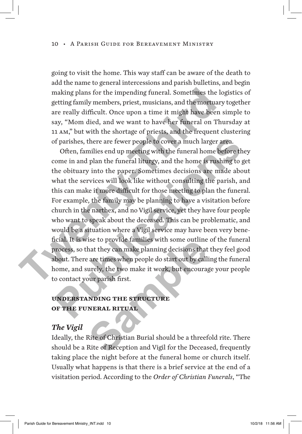going to visit the home. This way staff can be aware of the death to add the name to general intercessions and parish bulletins, and begin making plans for the impending funeral. Sometimes the logistics of getting family members, priest, musicians, and the mortuary together are really difficult. Once upon a time it might have been simple to say, "Mom died, and we want to have her funeral on Thursday at 11 am," but with the shortage of priests, and the frequent clustering of parishes, there are fewer people to cover a much larger area.

Often, families end up meeting with the funeral home before they come in and plan the funeral liturgy, and the home is rushing to get the obituary into the paper. Sometimes decisions are made about what the services will look like without consulting the parish, and this can make it more difficult for those meeting to plan the funeral. For example, the family may be planning to have a visitation before church in the narthex, and no Vigil service, yet they have four people who want to speak about the deceased. This can be problematic, and would be a situation where a Vigil service may have been very beneficial. It is wise to provide families with some outline of the funeral process, so that they can make planning decisions that they feel good about. There are times when people do start out by calling the funeral home, and surely, the two make it work, but encourage your people to contact your parish first. making plans for the impending funeral. Sometimes the log<br>getting family members, priest, musicians, and the mortuary<br>are really difficult. Once upon a time it might have been si<br>say, "Mom died, and we want to have her fun of parishes, there are fewer people to cover a much larger area.<br>
Often, families end up meeting with the funeral home before they<br>
come in and plan the funeral liturgy, and the home is rushing to get<br>
the obituary into th The to provide families with some outline<br>
hat they can make planning decisions that<br>
are times when people do start out by call<br>
urely, the two make it work, but encourag<br>
our parish first.<br> **NDING THE STRUCTURE<br>
NERAL RI** 

#### **Understanding the structure of the funeral ritual**

#### *The Vigil*

Ideally, the Rite of Christian Burial should be a threefold rite. There should be a Rite of Reception and Vigil for the Deceased, frequently taking place the night before at the funeral home or church itself. Usually what happens is that there is a brief service at the end of a visitation period. According to the *Order of Christian Funerals*, "The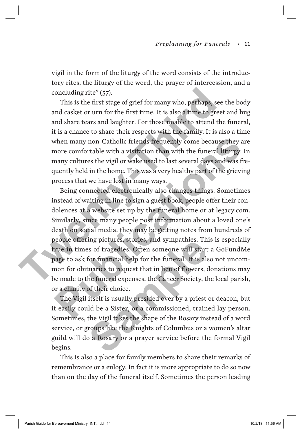vigil in the form of the liturgy of the word consists of the introductory rites, the liturgy of the word, the prayer of intercession, and a concluding rite" (57).

This is the first stage of grief for many who, perhaps, see the body and casket or urn for the first time. It is also a time to greet and hug and share tears and laughter. For those unable to attend the funeral, it is a chance to share their respects with the family. It is also a time when many non-Catholic friends frequently come because they are more comfortable with a visitation than with the funeral liturgy. In many cultures the vigil or wake used to last several days and was frequently held in the home. This was a very healthy part of the grieving process that we have lost in many ways.

Being connected electronically also changes things. Sometimes instead of waiting in line to sign a guest book, people offer their condolences at a website set up by the funeral home or at legacy.com. Similarly, since many people post information about a loved one's death on social media, they may be getting notes from hundreds of people offering pictures, stories, and sympathies. This is especially true in times of tragedies. Often someone will start a GoFundMe page to ask for financial help for the funeral. It is also not uncommon for obituaries to request that in lieu of flowers, donations may be made to the funeral expenses, the Cancer Society, the local parish, or a charity of their choice. concluding rite" (57). This is the first stage of grief for many who, perhaps, see the and casket or urn for the first time. It is also a time to greet and share tears and laughter. For those unable to attend the it is a when many non-Catholic friends frequently come because they are<br>nore comfortable with a visitation than with the funeral liturgy. In<br>nany cultures the vigil or wake used to last several days and was fre-<br>quently held in th

The Vigil itself is usually presided over by a priest or deacon, but it easily could be a Sister, or a commissioned, trained lay person. Sometimes, the Vigil takes the shape of the Rosary instead of a word service, or groups like the Knights of Columbus or a women's altar guild will do a Rosary or a prayer service before the formal Vigil begins. Ing pictures, stories, and sympathies. These of tragedies. Often someone will start<br>for financial help for the funeral. It is als<br>tuaries to request that in lieu of flowers, c<br>he funeral expenses, the Cancer Society, the<br>o

This is also a place for family members to share their remarks of remembrance or a eulogy. In fact it is more appropriate to do so now than on the day of the funeral itself. Sometimes the person leading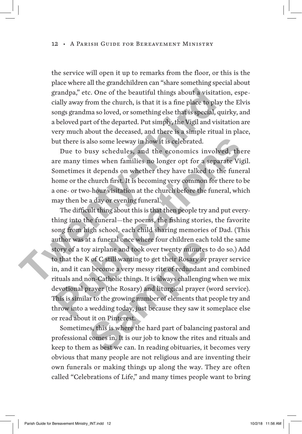the service will open it up to remarks from the floor, or this is the place where all the grandchildren can "share something special about grandpa," etc. One of the beautiful things about a visitation, especially away from the church, is that it is a fine place to play the Elvis songs grandma so loved, or something else that is special, quirky, and a beloved part of the departed. Put simply, the Vigil and visitation are very much about the deceased, and there is a simple ritual in place, but there is also some leeway in how it is celebrated.

Due to busy schedules, and the economics involved, there are many times when families no longer opt for a separate Vigil. Sometimes it depends on whether they have talked to the funeral home or the church first. It is becoming very common for there to be a one- or two-hour visitation at the church before the funeral, which may then be a day or evening funeral.

The difficult thing about this is that then people try and put everything into the funeral—the poems, the fishing stories, the favorite song from high school, each child sharing memories of Dad. (This author was at a funeral once where four children each told the same story of a toy airplane and took over twenty minutes to do so.) Add to that the K of C still wanting to get their Rosary or prayer service in, and it can become a very messy rite of redundant and combined rituals and non-Catholic things. It is always challenging when we mix devotional prayer (the Rosary) and liturgical prayer (word service). This is similar to the growing number of elements that people try and throw into a wedding today, just because they saw it someplace else or read about it on Pinterest. grandpa," etc. One of the beautiful things about a visitatio<br>cially away from the church, is that it is a fine place to play t<br>songs grandma so loved, or something else that is special, qui<br>a beloved part of the departed. by the there is also some leeway in how it is celebrated.<br>
Due to busy schedules, and the economics involved, there<br>
re many times when families no longer opt for a separate Vigil.<br>
Sometimes it depends on whether they hav is a funeral once where four children each<br>y airplane and took over twenty minutes<br>K of C still wanting to get their Rosary or<br>m become a very messy rite of redundant<br>ion-Catholic things. It is always challenging<br>prayer (t

Sometimes, this is where the hard part of balancing pastoral and professional comes in. It is our job to know the rites and rituals and keep to them as best we can. In reading obituaries, it becomes very obvious that many people are not religious and are inventing their own funerals or making things up along the way. They are often called "Celebrations of Life," and many times people want to bring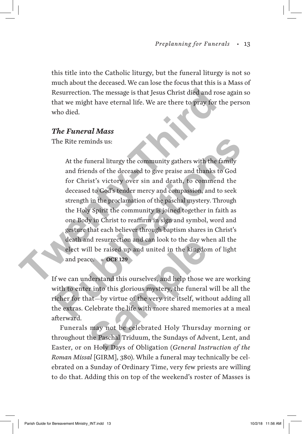this title into the Catholic liturgy, but the funeral liturgy is not so much about the deceased. We can lose the focus that this is a Mass of Resurrection. The message is that Jesus Christ died and rose again so that we might have eternal life. We are there to pray for the person who died.

#### *The Funeral Mass*

The Rite reminds us:

At the funeral liturgy the community gathers with the family and friends of the deceased to give praise and thanks to God for Christ's victory over sin and death, to commend the deceased to God's tender mercy and compassion, and to seek strength in the proclamation of the paschal mystery. Through the Holy Spirit the community is joined together in faith as one Body in Christ to reaffirm in sign and symbol, word and gesture that each believer through baptism shares in Christ's death and resurrection and can look to the day when all the elect will be raised up and united in the kingdom of light and peace. *OCF 129* Resurrection. The message is that Jesus Christ died and rose<br>that we might have eternal life. We are there to pray for the<br>who died.<br>The Funeral Mass<br>The Rite reminds us:<br>At the funcal liturgy the community gathers with t The Rite reminds us:<br>
At the funeral liturgy the community gathers with the family<br>
and friends of the deceased to give praise and thanks to God<br>
for Christ's victory over sin and death, to commend the<br>
deceased to God's t

If we can understand this ourselves, and help those we are working with to enter into this glorious mystery, the funeral will be all the richer for that—by virtue of the very rite itself, without adding all the extras. Celebrate the life with more shared memories at a meal afterward. ma resurrection and can look to the day wr<br>ill be raised up and united in the kingdom<br>ce. **OCF 129**<br>derstand this ourselves, and help those were into this glorious mystery, the funeral<br>nat—by virtue of the very rite itself

Funerals may not be celebrated Holy Thursday morning or throughout the Paschal Triduum, the Sundays of Advent, Lent, and Easter, or on Holy Days of Obligation (*General Instruction of the Roman Missal* [GIRM], 380). While a funeral may technically be celebrated on a Sunday of Ordinary Time, very few priests are willing to do that. Adding this on top of the weekend's roster of Masses is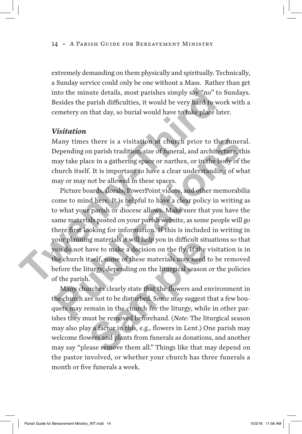extremely demanding on them physically and spiritually. Technically, a Sunday service could only be one without a Mass. Rather than get into the minute details, most parishes simply say "no" to Sundays. Besides the parish difficulties, it would be very hard to work with a cemetery on that day, so burial would have to take place later.

#### *Visitation*

Many times there is a visitation at church prior to the funeral. Depending on parish tradition, size of funeral, and architecture, this may take place in a gathering space or narthex, or in the body of the church itself. It is important to have a clear understanding of what may or may not be allowed in these spaces.

Picture boards, florals, PowerPoint videos, and other memorabilia come to mind here. It is helpful to have a clear policy in writing as to what your parish or diocese allows. Make sure that you have the same materials posted on your parish website, as some people will go there first looking for information. If this is included in writing in your planning materials it will help you in difficult situations so that you do not have to make a decision on the fly. If the visitation is in the church itself, some of these materials may need to be removed before the liturgy, depending on the liturgical season or the policies of the parish. into the minute details, most parishes simply say "no" to S<br>Besides the parish difficulties, it would be very hard to word<br>centery on that day, so burial would have to take place late<br>Visitation<br>Many times there is a visit Many times there is a visitation at church prior to the funeral.<br>Depending on parish tradition, size of funeral, and architecture, this<br>may take place in a gathering space or narthex, or in the body of the<br>hurch itself. It

Many churches clearly state that the flowers and environment in the church are not to be disturbed. Some may suggest that a few bouquets may remain in the church for the liturgy, while in other parishes they must be removed beforehand. (*Note:* The liturgical season may also play a factor in this, e.g., flowers in Lent.) One parish may welcome flowers and plants from funerals as donations, and another may say "please remove them all." Things like that may depend on the pastor involved, or whether your church has three funerals a month or five funerals a week. naterials it will help you in difficult situate<br>inave to make a decision on the fly. If the itself, some of these materials may need turgy, depending on the liturgical season<br>i.<br>irches clearly state that the flowers and en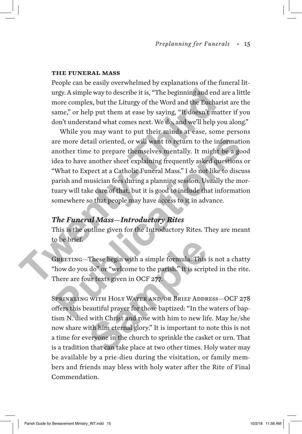#### **The Funeral Mass**

People can be easily overwhelmed by explanations of the funeral liturgy. A simple way to describe it is, "The beginning and end are a little more complex, but the Liturgy of the Word and the Eucharist are the same," or help put them at ease by saying, "It doesn't matter if you don't understand what comes next. We do, and we'll help you along."

While you may want to put their minds at ease, some persons are more detail oriented, or will want to return to the information another time to prepare themselves mentally. It might be a good idea to have another sheet explaining frequently asked questions or "What to Expect at a Catholic Funeral Mass." I do not like to discuss parish and musician fees during a planning session. Usually the mortuary will take care of that, but it is good to include that information somewhere so that people may have access to it in advance. urgy. A simple way to describe it is, "The beginning and end an more complex, but the Liturgy of the Word and the Eucharis same," or help put them at ease by saying, "It doesn't matted<br>on't understand what comes next. We d Ire more detail oriented, or will want to return to the information<br>mother time to prepare themselves mentally. It might be a good<br>dea to have another sheet explaining frequently asked questions or<br>What to Expect at a Cath

#### *The Funeral Mass—Introductory Rites*

This is the outline given for the Introductory Rites. They are meant to be brief.

GREETING—These begin with a simple formula. This is not a chatty "how do you do" or "welcome to the parish." It is scripted in the rite. There are four texts given in OCF 277.

Sprinkling with Holy Water and/or Brief Address—OCF 278 offers this beautiful prayer for those baptized: "In the waters of baptism N. died with Christ and rose with him to new life. May he/she now share with him eternal glory." It is important to note this is not a time for everyone in the church to sprinkle the casket or urn. That is a tradition that can take place at two other times. Holy water may be available by a prie-dieu during the visitation, or family members and friends may bless with holy water after the Rite of Final Commendation. These begin with a simple formula. This<br>
I do" or "welcome to the parish." It is scrip<br>
ur texts given in OCF 277.<br>
SECT WATER AND/OR BRIEF ADDR<br>
Eautiful prayer for those baptized: "In the<br>
urith Christ and rose with him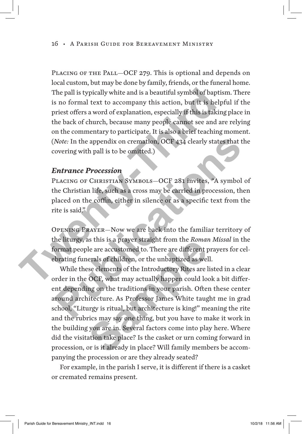PLACING OF THE PALL–OCF 279. This is optional and depends on local custom, but may be done by family, friends, or the funeral home. The pall is typically white and is a beautiful symbol of baptism. There is no formal text to accompany this action, but it is helpful if the priest offers a word of explanation, especially if this is taking place in the back of church, because many people cannot see and are relying on the commentary to participate. It is also a brief teaching moment. (*Note:* In the appendix on cremation, OCF 434 clearly states that the covering with pall is to be omitted.) The pall is typically white and is a beautiful symbol of baptis<br>
is no formal text to accompany this action, but it is helpf<br>
priest offers a word of explanation, especially if this is taking<br>
the back of church, because m

#### *Entrance Procession*

Placing of Christian Symbols—OCF 281 invites, "A symbol of the Christian life, such as a cross may be carried in procession, then placed on the coffin, either in silence or as a specific text from the rite is said."

Opening Prayer—Now we are back into the familiar territory of the liturgy, as this is a prayer straight from the *Roman Missal* in the format people are accustomed to. There are different prayers for celebrating funerals of children, or the unbaptized as well.

While these elements of the Introductory Rites are listed in a clear order in the OCF, what may actually happen could look a bit different depending on the traditions in your parish. Often these center around architecture. As Professor James White taught me in grad school, "Liturgy is ritual, but architecture is king!" meaning the rite and the rubrics may say one thing, but you have to make it work in the building you are in. Several factors come into play here. Where did the visitation take place? Is the casket or urn coming forward in procession, or is it already in place? Will family members be accompanying the procession or are they already seated? Note: In the appendix on cremation, OCF 434 clearly states that the<br>covering with pall is to be omitted.)<br> **Entrance Procession**<br>
PLACING OF CHRISTIAN SYMBOLS—OCF 281 invites, "A symbol of<br>
the Christian life, such as a cr as this is a prayer straight from the *Romal*<br>le are accustomed to. There are different p<br>erals of children, or the unbaptized as wel<br>see elements of the Introductory Rites are l<br>OCF, what may actually happen could loo<br>ng

For example, in the parish I serve, it is different if there is a casket or cremated remains present.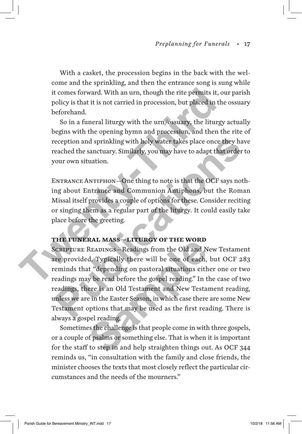With a casket, the procession begins in the back with the welcome and the sprinkling, and then the entrance song is sung while it comes forward. With an urn, though the rite permits it, our parish policy is that it is not carried in procession, but placed in the ossuary beforehand.

So in a funeral liturgy with the urn/ossuary, the liturgy actually begins with the opening hymn and procession, and then the rite of reception and sprinkling with holy water takes place once they have reached the sanctuary. Similarly, you may have to adapt that order to your own situation. It comes forward. With an urn, though the rite permits it, or policy is that it is not carried in procession, but placed in the beforehand.<br>
So in a funeral liturgy with the urn/ossuary, the liturgy begins with the opening

ENTRANCE ANTIPHON-One thing to note is that the OCF says nothing about Entrance and Communion Antiphons, but the Roman Missal itself provides a couple of options for these. Consider reciting or singing them as a regular part of the liturgy. It could easily take place before the greeting.

#### **The Funeral Mass—Liturgy of the Word**

Scripture Readings—Readings from the Old and New Testament are provided. Typically there will be one of each, but OCF 283 reminds that "depending on pastoral situations either one or two readings may be read before the gospel reading." In the case of two readings, there is an Old Testament and New Testament reading, unless we are in the Easter Season, in which case there are some New Testament options that may be used as the first reading. There is always a gospel reading. **PERICULAR INTER INTER SET AND MANUTE AND MANUTE SET AND MANUS AND MANUS CONDUCT AND MANUS CONDUCT ANTIFIEST AND MANUTE AND MANUTE AND MANUTE AND MANUTE AND MANUTE THE PUMERAL MASS—LITUREY OF THE WORD MANUTE FUMERAL MASS—L RAL MASS—LITURGY OF THE WORD**<br>READINGS—Readings from the Old and N<br>d. Typically there will be one of each,<br>at "depending on pastoral situations eith<br>w be read before the gospel reading." In t<br>ere is an Old Testament and N

Sometimes the challenge is that people come in with three gospels, or a couple of psalms or something else. That is when it is important for the staff to step in and help straighten things out. As OCF 344 reminds us, "in consultation with the family and close friends, the minister chooses the texts that most closely reflect the particular circumstances and the needs of the mourners."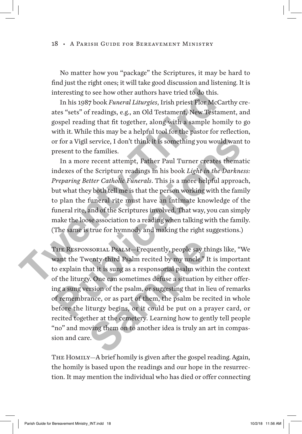No matter how you "package" the Scriptures, it may be hard to find just the right ones; it will take good discussion and listening. It is interesting to see how other authors have tried to do this.

In his 1987 book *Funeral Liturgies*, Irish priest Flor McCarthy creates "sets" of readings, e.g., an Old Testament, New Testament, and gospel reading that fit together, along with a sample homily to go with it. While this may be a helpful tool for the pastor for reflection, or for a Vigil service, I don't think it is something you would want to present to the families.

In a more recent attempt, Father Paul Turner creates thematic indexes of the Scripture readings in his book *Light in the Darkness: Preparing Better Catholic Funerals*. This is a more helpful approach, but what they both tell me is that the person working with the family to plan the funeral rite must have an intimate knowledge of the funeral rite, and of the Scriptures involved. That way, you can simply make the loose association to a reading when talking with the family. (The same is true for hymnody and making the right suggestions.) interesting to see how other authors have tried to do this.<br>
In his 1987 book *Funeral Liturgies*, Irish priest Flor McCar<br>
ates "sets" of readings, e.g., an Old Testament, New Testam<br>
gospel reading that fit together, alo For a Vigil service, I don't think it is something you would want to<br>present to the families.<br>In a more recent attempt, Father Paul Turner creates thematic<br>mdexes of the Scripture readings in his book *Light in the Darknes* 

The Responsorial Psalm—Frequently, people say things like, "We want the Twenty-third Psalm recited by my uncle." It is important to explain that it is sung as a responsorial psalm within the context of the liturgy. One can sometimes defuse a situation by either offering a sung version of the psalm, or suggesting that in lieu of remarks of remembrance, or as part of them, the psalm be recited in whole before the liturgy begins, or it could be put on a prayer card, or recited together at the cemetery. Learning how to gently tell people "no" and moving them on to another idea is truly an art in compassion and care. NEXTRIAL PSALM—Frequently, people say the Next Posa Control Psalm recited by my uncle." I<br>nat it is sung as a responsorial psalm with y. One can sometimes defuse a situation bersion of the psalm, or suggesting that in lanc

THE HOMILY—A brief homily is given after the gospel reading. Again, the homily is based upon the readings and our hope in the resurrection. It may mention the individual who has died or offer connecting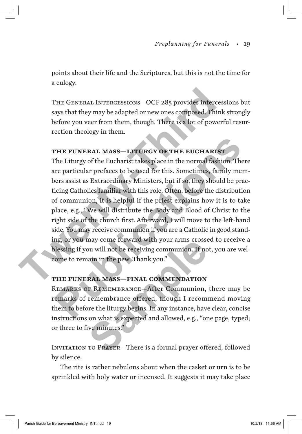points about their life and the Scriptures, but this is not the time for a eulogy.

The General Intercessions—OCF 285 provides intercessions but says that they may be adapted or new ones composed. Think strongly before you veer from them, though. There is a lot of powerful resurrection theology in them.

#### **The Funeral Mass—Liturgy of the Eucharist**

The Liturgy of the Eucharist takes place in the normal fashion. There are particular prefaces to be used for this. Sometimes, family members assist as Extraordinary Ministers, but if so, they should be practicing Catholics familiar with this role. Often, before the distribution of communion, it is helpful if the priest explains how it is to take place, e.g., "We will distribute the Body and Blood of Christ to the right side of the church first. Afterward, I will move to the left-hand side. You may receive communion if you are a Catholic in good standing, or you may come forward with your arms crossed to receive a blessing if you will not be receiving communion. If not, you are welcome to remain in the pew. Thank you." THE GENERAL INTERCESSIONS—OCF 285 provides intercess<br>says that they may be adapted or new ones composed. Think<br>before you veer from them, though. There is a lot of powerf<br>rection theology in them.<br>**THE FUNERAL MASS—LITURGY FIFE FUNERAL MASS—LITURGY OF THE EUCHARIST**<br>The Liturgy of the Eucharist takes place in the normal fashion. There<br>re particular prefaces to be used for this. Sometimes, family mem-<br>ers assist as Extraordinary Ministers, b

#### **The Funeral Mass—Final Commendation**

Remarks of Remembrance—After Communion, there may be remarks of remembrance offered, though I recommend moving them to before the liturgy begins. In any instance, have clear, concise instructions on what is expected and allowed, e.g., "one page, typed; or three to five minutes." may come forward with your arms crosse<br>bu will not be receiving communion. If no<br>aain in the pew. Thank you."<br>**RAL MASS—FINAL COMMENDATION**<br>F REMEMBRANCE—After Communion,<br>remembrance offered, though I recom-<br>ore the liturg

Invitation to Prayer—There is a formal prayer offered, followed by silence.

The rite is rather nebulous about when the casket or urn is to be sprinkled with holy water or incensed. It suggests it may take place